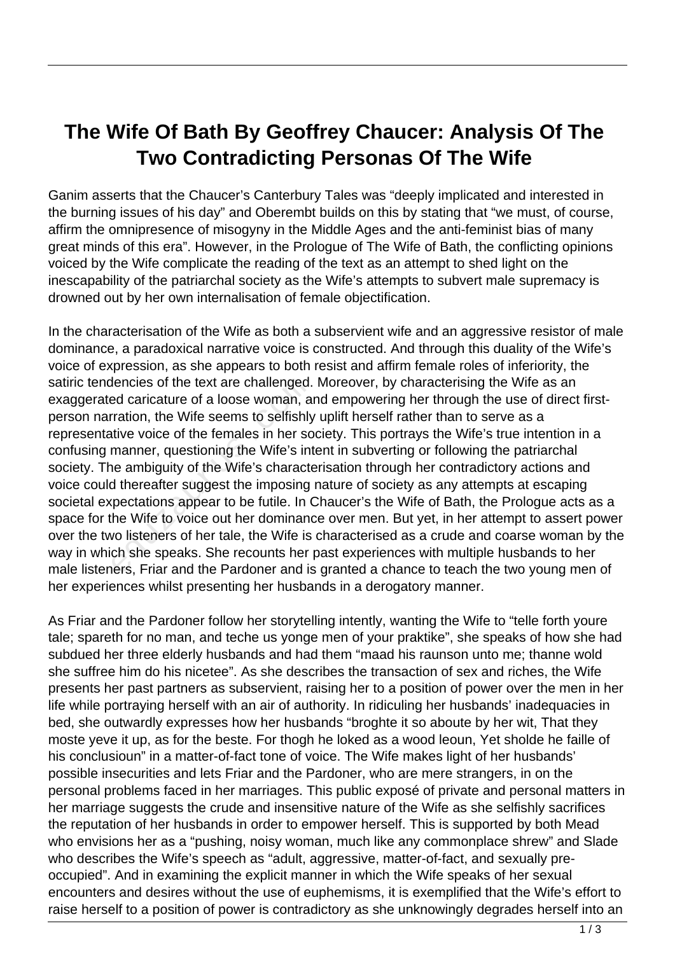## **The Wife Of Bath By Geoffrey Chaucer: Analysis Of The Two Contradicting Personas Of The Wife**

Ganim asserts that the Chaucer's Canterbury Tales was "deeply implicated and interested in the burning issues of his day" and Oberembt builds on this by stating that "we must, of course, affirm the omnipresence of misogyny in the Middle Ages and the anti-feminist bias of many great minds of this era". However, in the Prologue of The Wife of Bath, the conflicting opinions voiced by the Wife complicate the reading of the text as an attempt to shed light on the inescapability of the patriarchal society as the Wife's attempts to subvert male supremacy is drowned out by her own internalisation of female objectification.

In the characterisation of the Wife as both a subservient wife and an aggressive resistor of male dominance, a paradoxical narrative voice is constructed. And through this duality of the Wife's voice of expression, as she appears to both resist and affirm female roles of inferiority, the satiric tendencies of the text are challenged. Moreover, by characterising the Wife as an exaggerated caricature of a loose woman, and empowering her through the use of direct firstperson narration, the Wife seems to selfishly uplift herself rather than to serve as a representative voice of the females in her society. This portrays the Wife's true intention in a confusing manner, questioning the Wife's intent in subverting or following the patriarchal society. The ambiguity of the Wife's characterisation through her contradictory actions and voice could thereafter suggest the imposing nature of society as any attempts at escaping societal expectations appear to be futile. In Chaucer's the Wife of Bath, the Prologue acts as a space for the Wife to voice out her dominance over men. But yet, in her attempt to assert power over the two listeners of her tale, the Wife is characterised as a crude and coarse woman by the way in which she speaks. She recounts her past experiences with multiple husbands to her male listeners, Friar and the Pardoner and is granted a chance to teach the two young men of her experiences whilst presenting her husbands in a derogatory manner. dencies of the text are challenged.<br>End caricature of a loose woman, a<br>pration, the Wife seems to selfishly<br>tive voice of the females in her scomanner, questioning the Wife's int<br>ne ambiguity of the Wife's characte<br>d there

As Friar and the Pardoner follow her storytelling intently, wanting the Wife to "telle forth youre tale; spareth for no man, and teche us yonge men of your praktike", she speaks of how she had subdued her three elderly husbands and had them "maad his raunson unto me; thanne wold she suffree him do his nicetee". As she describes the transaction of sex and riches, the Wife presents her past partners as subservient, raising her to a position of power over the men in her life while portraying herself with an air of authority. In ridiculing her husbands' inadequacies in bed, she outwardly expresses how her husbands "broghte it so aboute by her wit, That they moste yeve it up, as for the beste. For thogh he loked as a wood leoun, Yet sholde he faille of his conclusioun" in a matter-of-fact tone of voice. The Wife makes light of her husbands' possible insecurities and lets Friar and the Pardoner, who are mere strangers, in on the personal problems faced in her marriages. This public exposé of private and personal matters in her marriage suggests the crude and insensitive nature of the Wife as she selfishly sacrifices the reputation of her husbands in order to empower herself. This is supported by both Mead who envisions her as a "pushing, noisy woman, much like any commonplace shrew" and Slade who describes the Wife's speech as "adult, aggressive, matter-of-fact, and sexually preoccupied". And in examining the explicit manner in which the Wife speaks of her sexual encounters and desires without the use of euphemisms, it is exemplified that the Wife's effort to raise herself to a position of power is contradictory as she unknowingly degrades herself into an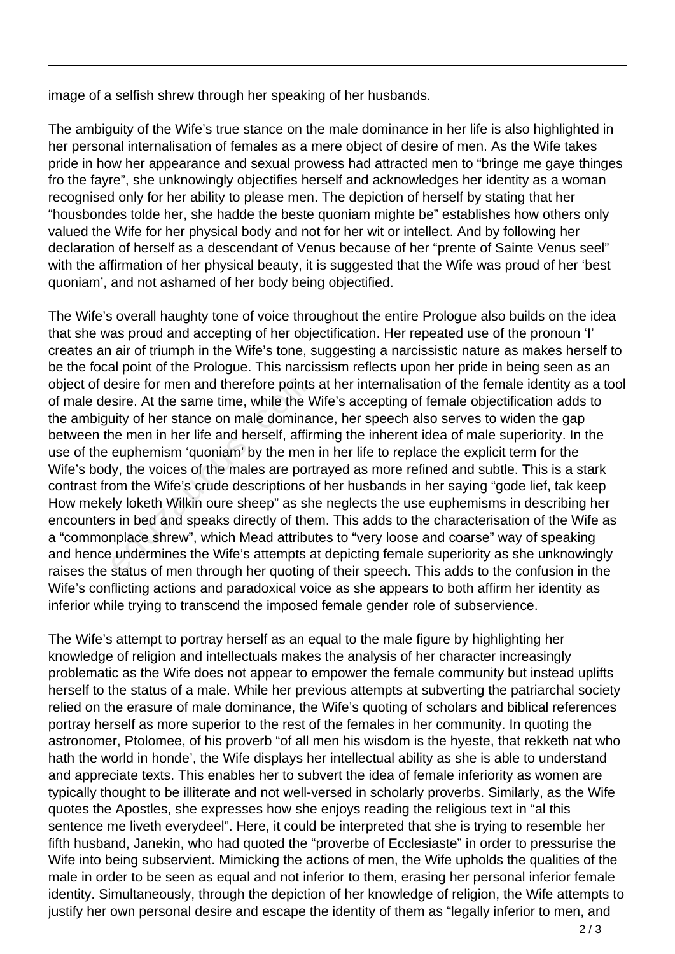image of a selfish shrew through her speaking of her husbands.

The ambiguity of the Wife's true stance on the male dominance in her life is also highlighted in her personal internalisation of females as a mere object of desire of men. As the Wife takes pride in how her appearance and sexual prowess had attracted men to "bringe me gaye thinges fro the fayre", she unknowingly objectifies herself and acknowledges her identity as a woman recognised only for her ability to please men. The depiction of herself by stating that her "housbondes tolde her, she hadde the beste quoniam mighte be" establishes how others only valued the Wife for her physical body and not for her wit or intellect. And by following her declaration of herself as a descendant of Venus because of her "prente of Sainte Venus seel" with the affirmation of her physical beauty, it is suggested that the Wife was proud of her 'best quoniam', and not ashamed of her body being objectified.

The Wife's overall haughty tone of voice throughout the entire Prologue also builds on the idea that she was proud and accepting of her objectification. Her repeated use of the pronoun 'I' creates an air of triumph in the Wife's tone, suggesting a narcissistic nature as makes herself to be the focal point of the Prologue. This narcissism reflects upon her pride in being seen as an object of desire for men and therefore points at her internalisation of the female identity as a tool of male desire. At the same time, while the Wife's accepting of female objectification adds to the ambiguity of her stance on male dominance, her speech also serves to widen the gap between the men in her life and herself, affirming the inherent idea of male superiority. In the use of the euphemism 'quoniam' by the men in her life to replace the explicit term for the Wife's body, the voices of the males are portrayed as more refined and subtle. This is a stark contrast from the Wife's crude descriptions of her husbands in her saying "gode lief, tak keep How mekely loketh Wilkin oure sheep" as she neglects the use euphemisms in describing her encounters in bed and speaks directly of them. This adds to the characterisation of the Wife as a "commonplace shrew", which Mead attributes to "very loose and coarse" way of speaking and hence undermines the Wife's attempts at depicting female superiority as she unknowingly raises the status of men through her quoting of their speech. This adds to the confusion in the Wife's conflicting actions and paradoxical voice as she appears to both affirm her identity as inferior while trying to transcend the imposed female gender role of subservience. esire for men and therefore points<br>sire. At the same time, while the V<br>uity of her stance on male domina<br>ne men in her life and herself, affir<br>euphemism 'quoniam' by the men<br>y, the voices of the males are por<br>om the Wife's

The Wife's attempt to portray herself as an equal to the male figure by highlighting her knowledge of religion and intellectuals makes the analysis of her character increasingly problematic as the Wife does not appear to empower the female community but instead uplifts herself to the status of a male. While her previous attempts at subverting the patriarchal society relied on the erasure of male dominance, the Wife's quoting of scholars and biblical references portray herself as more superior to the rest of the females in her community. In quoting the astronomer, Ptolomee, of his proverb "of all men his wisdom is the hyeste, that rekketh nat who hath the world in honde', the Wife displays her intellectual ability as she is able to understand and appreciate texts. This enables her to subvert the idea of female inferiority as women are typically thought to be illiterate and not well-versed in scholarly proverbs. Similarly, as the Wife quotes the Apostles, she expresses how she enjoys reading the religious text in "al this sentence me liveth everydeel". Here, it could be interpreted that she is trying to resemble her fifth husband, Janekin, who had quoted the "proverbe of Ecclesiaste" in order to pressurise the Wife into being subservient. Mimicking the actions of men, the Wife upholds the qualities of the male in order to be seen as equal and not inferior to them, erasing her personal inferior female identity. Simultaneously, through the depiction of her knowledge of religion, the Wife attempts to justify her own personal desire and escape the identity of them as "legally inferior to men, and